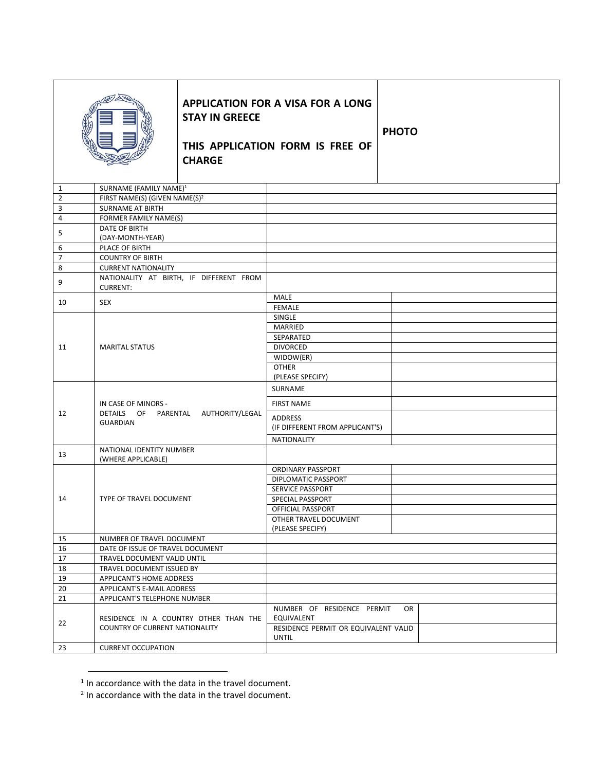| <b>CHARGE</b>  |                                                                               | <b>STAY IN GREECE</b>       | APPLICATION FOR A VISA FOR A LONG<br>THIS APPLICATION FORM IS FREE OF | <b>PHOTO</b> |
|----------------|-------------------------------------------------------------------------------|-----------------------------|-----------------------------------------------------------------------|--------------|
| 1              | SURNAME (FAMILY NAME) <sup>1</sup>                                            |                             |                                                                       |              |
| $\overline{2}$ | FIRST NAME(S) (GIVEN NAME(S) <sup>2</sup>                                     |                             |                                                                       |              |
| 3              | <b>SURNAME AT BIRTH</b>                                                       |                             |                                                                       |              |
| 4              | FORMER FAMILY NAME(S)                                                         |                             |                                                                       |              |
| 5              | DATE OF BIRTH<br>(DAY-MONTH-YEAR)                                             |                             |                                                                       |              |
|                |                                                                               |                             |                                                                       |              |
| 6              | PLACE OF BIRTH                                                                |                             |                                                                       |              |
| 7              | <b>COUNTRY OF BIRTH</b>                                                       |                             |                                                                       |              |
| 8              | <b>CURRENT NATIONALITY</b>                                                    |                             |                                                                       |              |
| 9              | NATIONALITY AT BIRTH, IF DIFFERENT FROM<br><b>CURRENT:</b>                    |                             |                                                                       |              |
| 10             | <b>SEX</b>                                                                    |                             | MALE                                                                  |              |
|                |                                                                               |                             | <b>FEMALE</b>                                                         |              |
|                |                                                                               |                             | SINGLE                                                                |              |
|                |                                                                               |                             | MARRIED<br>SEPARATED                                                  |              |
|                |                                                                               |                             |                                                                       |              |
| 11             | <b>MARITAL STATUS</b>                                                         |                             | <b>DIVORCED</b>                                                       |              |
|                |                                                                               |                             | WIDOW(ER)                                                             |              |
|                |                                                                               |                             | <b>OTHER</b><br>(PLEASE SPECIFY)                                      |              |
|                | IN CASE OF MINORS -<br>DETAILS OF PARENTAL AUTHORITY/LEGAL<br><b>GUARDIAN</b> |                             | SURNAME                                                               |              |
|                |                                                                               |                             | <b>FIRST NAME</b>                                                     |              |
| 12             |                                                                               |                             | ADDRESS                                                               |              |
|                |                                                                               |                             | (IF DIFFERENT FROM APPLICANT'S)                                       |              |
|                |                                                                               |                             | <b>NATIONALITY</b>                                                    |              |
| 13             | NATIONAL IDENTITY NUMBER<br>(WHERE APPLICABLE)                                |                             |                                                                       |              |
|                | TYPE OF TRAVEL DOCUMENT                                                       |                             | ORDINARY PASSPORT                                                     |              |
|                |                                                                               |                             | DIPLOMATIC PASSPORT                                                   |              |
|                |                                                                               |                             | SERVICE PASSPORT                                                      |              |
| 14             |                                                                               |                             | SPECIAL PASSPORT                                                      |              |
|                |                                                                               |                             | <b>OFFICIAL PASSPORT</b>                                              |              |
|                |                                                                               |                             | OTHER TRAVEL DOCUMENT                                                 |              |
|                |                                                                               |                             | (PLEASE SPECIFY)                                                      |              |
| 15             | NUMBER OF TRAVEL DOCUMENT                                                     |                             |                                                                       |              |
| 16             | DATE OF ISSUE OF TRAVEL DOCUMENT                                              |                             |                                                                       |              |
| 17             |                                                                               | TRAVEL DOCUMENT VALID UNTIL |                                                                       |              |
| 18<br>19       | TRAVEL DOCUMENT ISSUED BY<br>APPLICANT'S HOME ADDRESS                         |                             |                                                                       |              |
| 20             | APPLICANT'S E-MAIL ADDRESS                                                    |                             |                                                                       |              |
| 21             | APPLICANT'S TELEPHONE NUMBER                                                  |                             |                                                                       |              |
|                |                                                                               |                             | NUMBER OF RESIDENCE PERMIT                                            | OR           |
| 22             | RESIDENCE IN A COUNTRY OTHER THAN THE<br>COUNTRY OF CURRENT NATIONALITY       |                             | EQUIVALENT                                                            |              |
|                |                                                                               |                             | RESIDENCE PERMIT OR EQUIVALENT VALID                                  |              |
|                |                                                                               |                             | <b>UNTIL</b>                                                          |              |
| 23             | <b>CURRENT OCCUPATION</b>                                                     |                             |                                                                       |              |

 $\overline{a}$ 

<sup>&</sup>lt;sup>1</sup> In accordance with the data in the travel document.<br><sup>2</sup> In accordance with the data in the travel document.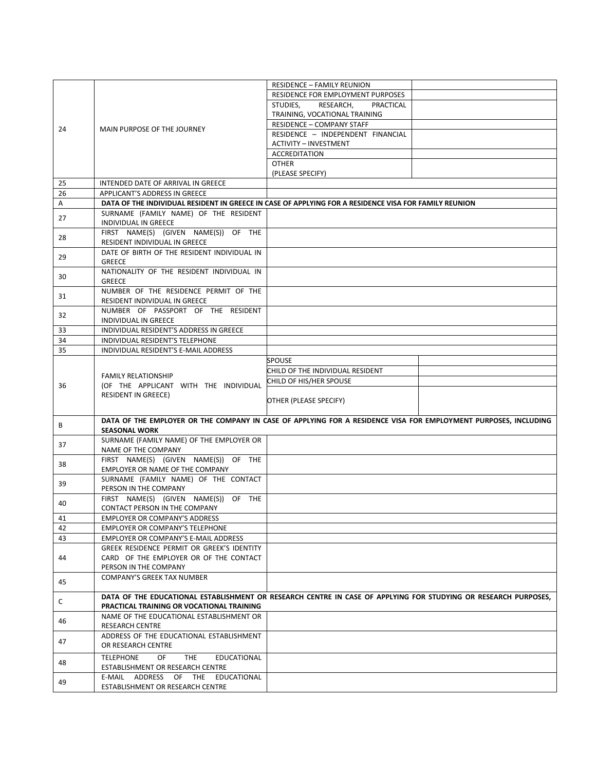|    |                                                                                                                 | <b>RESIDENCE - FAMILY REUNION</b>  |  |
|----|-----------------------------------------------------------------------------------------------------------------|------------------------------------|--|
| 24 |                                                                                                                 | RESIDENCE FOR EMPLOYMENT PURPOSES  |  |
|    |                                                                                                                 | RESEARCH,<br>STUDIES,<br>PRACTICAL |  |
|    |                                                                                                                 | TRAINING, VOCATIONAL TRAINING      |  |
|    |                                                                                                                 | <b>RESIDENCE - COMPANY STAFF</b>   |  |
|    | MAIN PURPOSE OF THE JOURNEY                                                                                     | RESIDENCE - INDEPENDENT FINANCIAL  |  |
|    |                                                                                                                 | <b>ACTIVITY - INVESTMENT</b>       |  |
|    |                                                                                                                 | <b>ACCREDITATION</b>               |  |
|    |                                                                                                                 | <b>OTHER</b>                       |  |
|    |                                                                                                                 | (PLEASE SPECIFY)                   |  |
| 25 | INTENDED DATE OF ARRIVAL IN GREECE                                                                              |                                    |  |
| 26 | APPLICANT'S ADDRESS IN GREECE                                                                                   |                                    |  |
| Α  | DATA OF THE INDIVIDUAL RESIDENT IN GREECE IN CASE OF APPLYING FOR A RESIDENCE VISA FOR FAMILY REUNION           |                                    |  |
| 27 | SURNAME (FAMILY NAME) OF THE RESIDENT                                                                           |                                    |  |
|    | INDIVIDUAL IN GREECE                                                                                            |                                    |  |
| 28 | FIRST NAME(S) (GIVEN NAME(S)) OF THE                                                                            |                                    |  |
|    | RESIDENT INDIVIDUAL IN GREECE                                                                                   |                                    |  |
| 29 | DATE OF BIRTH OF THE RESIDENT INDIVIDUAL IN                                                                     |                                    |  |
|    | <b>GREECE</b>                                                                                                   |                                    |  |
| 30 | NATIONALITY OF THE RESIDENT INDIVIDUAL IN                                                                       |                                    |  |
|    | <b>GREECE</b>                                                                                                   |                                    |  |
| 31 | NUMBER OF THE RESIDENCE PERMIT OF THE                                                                           |                                    |  |
|    | RESIDENT INDIVIDUAL IN GREECE<br>NUMBER OF PASSPORT OF THE RESIDENT                                             |                                    |  |
| 32 | INDIVIDUAL IN GREECE                                                                                            |                                    |  |
| 33 | INDIVIDUAL RESIDENT'S ADDRESS IN GREECE                                                                         |                                    |  |
| 34 | INDIVIDUAL RESIDENT'S TELEPHONE                                                                                 |                                    |  |
| 35 | INDIVIDUAL RESIDENT'S E-MAIL ADDRESS                                                                            |                                    |  |
|    |                                                                                                                 | <b>SPOUSE</b>                      |  |
|    |                                                                                                                 | CHILD OF THE INDIVIDUAL RESIDENT   |  |
|    | <b>FAMILY RELATIONSHIP</b>                                                                                      | CHILD OF HIS/HER SPOUSE            |  |
| 36 | (OF THE APPLICANT WITH THE INDIVIDUAL                                                                           |                                    |  |
|    | RESIDENT IN GREECE)                                                                                             | OTHER (PLEASE SPECIFY)             |  |
|    |                                                                                                                 |                                    |  |
|    | DATA OF THE EMPLOYER OR THE COMPANY IN CASE OF APPLYING FOR A RESIDENCE VISA FOR EMPLOYMENT PURPOSES, INCLUDING |                                    |  |
| B  | <b>SEASONAL WORK</b>                                                                                            |                                    |  |
|    | SURNAME (FAMILY NAME) OF THE EMPLOYER OR                                                                        |                                    |  |
| 37 | NAME OF THE COMPANY                                                                                             |                                    |  |
|    | FIRST NAME(S) (GIVEN NAME(S)) OF THE                                                                            |                                    |  |
| 38 |                                                                                                                 |                                    |  |
|    | EMPLOYER OR NAME OF THE COMPANY                                                                                 |                                    |  |
|    | SURNAME (FAMILY NAME) OF THE CONTACT                                                                            |                                    |  |
| 39 | PERSON IN THE COMPANY                                                                                           |                                    |  |
|    | FIRST NAME(S) (GIVEN NAME(S)) OF THE                                                                            |                                    |  |
| 40 | CONTACT PERSON IN THE COMPANY                                                                                   |                                    |  |
| 41 | <b>EMPLOYER OR COMPANY'S ADDRESS</b>                                                                            |                                    |  |
| 42 | <b>EMPLOYER OR COMPANY'S TELEPHONE</b>                                                                          |                                    |  |
| 43 | EMPLOYER OR COMPANY'S E-MAIL ADDRESS                                                                            |                                    |  |
|    | GREEK RESIDENCE PERMIT OR GREEK'S IDENTITY                                                                      |                                    |  |
| 44 | CARD OF THE EMPLOYER OR OF THE CONTACT                                                                          |                                    |  |
|    | PERSON IN THE COMPANY                                                                                           |                                    |  |
| 45 | <b>COMPANY'S GREEK TAX NUMBER</b>                                                                               |                                    |  |
|    |                                                                                                                 |                                    |  |
| C  | DATA OF THE EDUCATIONAL ESTABLISHMENT OR RESEARCH CENTRE IN CASE OF APPLYING FOR STUDYING OR RESEARCH PURPOSES, |                                    |  |
|    | PRACTICAL TRAINING OR VOCATIONAL TRAINING                                                                       |                                    |  |
| 46 | NAME OF THE EDUCATIONAL ESTABLISHMENT OR<br><b>RESEARCH CENTRE</b>                                              |                                    |  |
|    | ADDRESS OF THE EDUCATIONAL ESTABLISHMENT                                                                        |                                    |  |
| 47 | OR RESEARCH CENTRE                                                                                              |                                    |  |
|    |                                                                                                                 |                                    |  |
| 48 | <b>TELEPHONE</b><br>OF<br><b>THE</b><br>EDUCATIONAL                                                             |                                    |  |
|    | ESTABLISHMENT OR RESEARCH CENTRE<br>E-MAIL ADDRESS OF THE EDUCATIONAL                                           |                                    |  |
| 49 | ESTABLISHMENT OR RESEARCH CENTRE                                                                                |                                    |  |